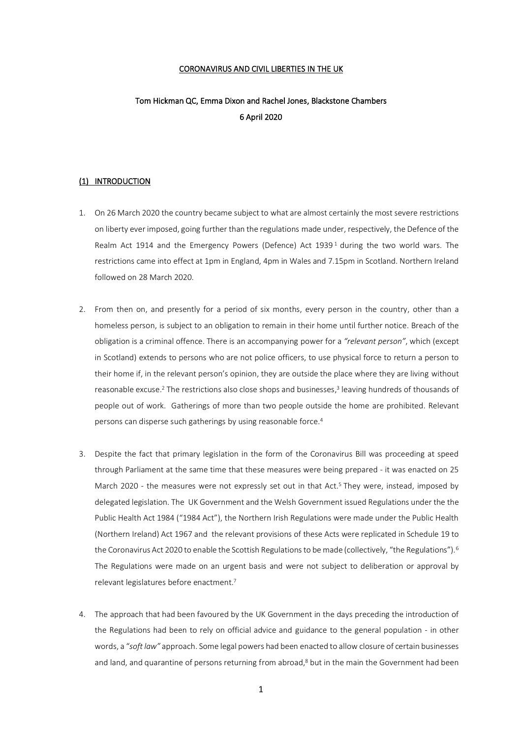### CORONAVIRUS AND CIVIL LIBERTIES IN THE UK

# Tom Hickman QC, Emma Dixon and Rachel Jones, Blackstone Chambers 6 April 2020

# (1) INTRODUCTION

- 1. On 26 March 2020 the country became subject to what are almost certainly the most severe restrictions on liberty ever imposed, going further than the regulations made under, respectively, the Defence of the Realm Act 1914 and the Emergency Powers (Defence) Act 1939<sup>1</sup> during the two world wars. The restrictions came into effect at 1pm in England, 4pm in Wales and 7.15pm in Scotland. Northern Ireland followed on 28 March 2020.
- 2. From then on, and presently for a period of six months, every person in the country, other than a homeless person, is subject to an obligation to remain in their home until further notice. Breach of the obligation is a criminal offence. There is an accompanying power for a *"relevant person"*, which (except in Scotland) extends to persons who are not police officers, to use physical force to return a person to their home if, in the relevant person's opinion, they are outside the place where they are living without reasonable excuse. <sup>2</sup> The restrictions also close shops and businesses, 3 leaving hundreds of thousands of people out of work. Gatherings of more than two people outside the home are prohibited. Relevant persons can disperse such gatherings by using reasonable force. 4
- 3. Despite the fact that primary legislation in the form of the Coronavirus Bill was proceeding at speed through Parliament at the same time that these measures were being prepared - it was enacted on 25 March 2020 - the measures were not expressly set out in that Act. <sup>5</sup> They were, instead, imposed by delegated legislation. The UK Government and the Welsh Government issued Regulations under the the Public Health Act 1984 ("1984 Act"), the Northern Irish Regulations were made under the Public Health (Northern Ireland) Act 1967 and the relevant provisions of these Acts were replicated in Schedule 19 to the Coronavirus Act 2020 to enable the Scottish Regulations to be made (collectively, "the Regulations").<sup>6</sup> The Regulations were made on an urgent basis and were not subject to deliberation or approval by relevant legislatures before enactment. 7
- 4. The approach that had been favoured by the UK Government in the days preceding the introduction of the Regulations had been to rely on official advice and guidance to the general population - in other words, a "*soft law"* approach. Some legal powers had been enacted to allow closure of certain businesses and land, and quarantine of persons returning from abroad,<sup>8</sup> but in the main the Government had been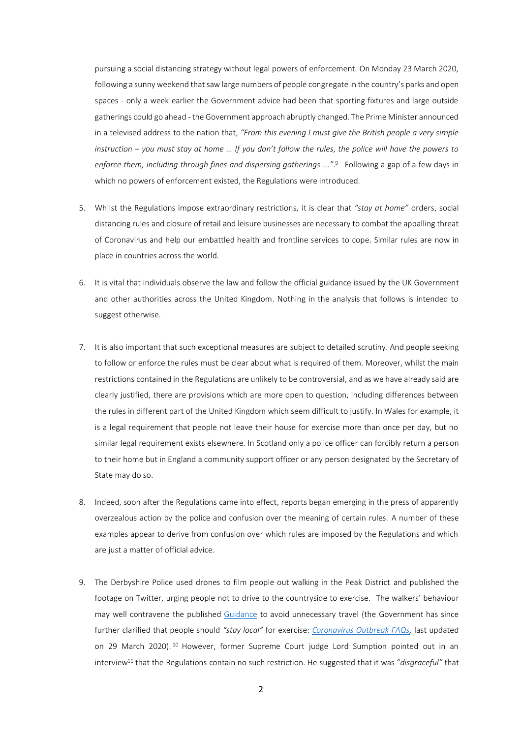pursuing a social distancing strategy without legal powers of enforcement. On Monday 23 March 2020, following a sunny weekend that saw large numbers of people congregate in the country's parks and open spaces - only a week earlier the Government advice had been that sporting fixtures and large outside gatherings could go ahead - the Government approach abruptly changed. The Prime Minister announced in a televised address to the nation that, *"From this evening I must give the British people a very simple instruction – you must stay at home … If you don't follow the rules, the police will have the powers to enforce them, including through fines and dispersing gatherings ..."*. 9 Following a gap of a few days in which no powers of enforcement existed, the Regulations were introduced.

- 5. Whilst the Regulations impose extraordinary restrictions, it is clear that *"stay at home"* orders, social distancing rules and closure of retail and leisure businesses are necessary to combat the appalling threat of Coronavirus and help our embattled health and frontline services to cope. Similar rules are now in place in countries across the world.
- 6. It is vital that individuals observe the law and follow the official guidance issued by the UK Government and other authorities across the United Kingdom. Nothing in the analysis that follows is intended to suggest otherwise.
- 7. It is also important that such exceptional measures are subject to detailed scrutiny. And people seeking to follow or enforce the rules must be clear about what is required of them. Moreover, whilst the main restrictions contained in the Regulations are unlikely to be controversial, and as we have already said are clearly justified, there are provisions which are more open to question, including differences between the rules in different part of the United Kingdom which seem difficult to justify. In Wales for example, it is a legal requirement that people not leave their house for exercise more than once per day, but no similar legal requirement exists elsewhere. In Scotland only a police officer can forcibly return a person to their home but in England a community support officer or any person designated by the Secretary of State may do so.
- 8. Indeed, soon after the Regulations came into effect, reports began emerging in the press of apparently overzealous action by the police and confusion over the meaning of certain rules. A number of these examples appear to derive from confusion over which rules are imposed by the Regulations and which are just a matter of official advice.
- <span id="page-1-0"></span>9. The Derbyshire Police used drones to film people out walking in the Peak District and published the footage on Twitter, urging people not to drive to the countryside to exercise. The walkers' behaviour may well contravene the published [Guidance](https://www.gov.uk/government/publications/full-guidance-on-staying-at-home-and-away-from-others/full-guidance-on-staying-at-home-and-away-from-others) to avoid unnecessary travel (the Government has since further clarified that people should *"stay local"* for exercise: *[Coronavirus Outbreak FAQs,](https://www.gov.uk/government/publications/coronavirus-outbreak-faqs-what-you-can-and-cant-do/coronavirus-outbreak-faqs-what-you-can-and-cant-do#can-i-drive-to-a-national-park-or-other-green-space-to-walk)* last updated on 29 March 2020).<sup>10</sup> However, former Supreme Court judge Lord Sumption pointed out in an interview<sup>11</sup> that the Regulations contain no such restriction. He suggested that it was "*disgraceful"* that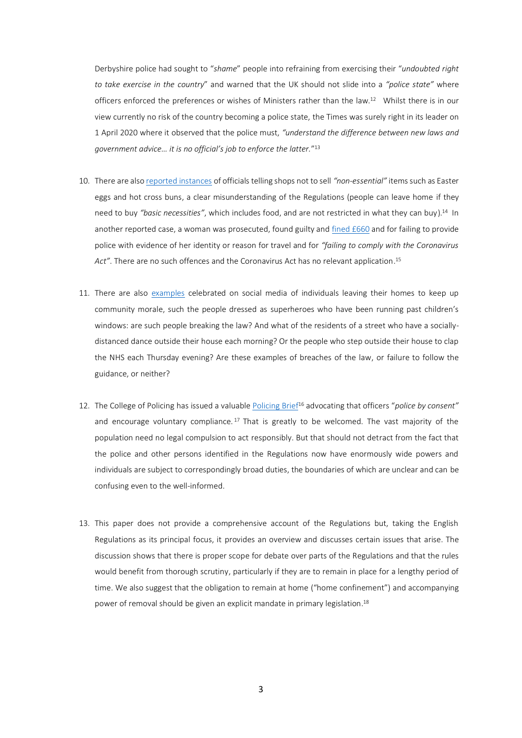Derbyshire police had sought to "*shame*" people into refraining from exercising their "*undoubted right to take exercise in the country*" and warned that the UK should not slide into a *"police state"* where officers enforced the preferences or wishes of Ministers rather than the law.<sup>12</sup> Whilst there is in our view currently no risk of the country becoming a police state, the Times was surely right in its leader on 1 April 2020 where it observed that the police must, *"understand the difference between new laws and government advice… it is no official's job to enforce the latter.*" 13

- 10. There are also [reported instances](https://www.standard.co.uk/news/uk/shops-selling-easter-eggs-coronavirus-a4401796.html) of officials telling shops not to sell *"non-essential"* items such as Easter eggs and hot cross buns, a clear misunderstanding of the Regulations (people can leave home if they need to buy *"basic necessities"*, which includes food, and are not restricted in what they can buy). <sup>14</sup> In another reported case, a woman was prosecuted, found guilty an[d fined](https://www.thetimes.co.uk/article/police-fine-woman-660-for-breaching-coronavirus-lockdown-laws-at-train-station-5ftr9ql0f) £660 and for failing to provide police with evidence of her identity or reason for travel and for *"failing to comply with the Coronavirus Act"*. There are no such offences and the Coronavirus Act has no relevant application. 15
- 11. There are also [examples](https://www.walesonline.co.uk/news/wales-news/coronavirus-superheroes-run-spiderman-incredible-18037188) celebrated on social media of individuals leaving their homes to keep up community morale, such the people dressed as superheroes who have been running past children's windows: are such people breaking the law? And what of the residents of a street who have a sociallydistanced dance outside their house each morning? Or the people who step outside their house to clap the NHS each Thursday evening? Are these examples of breaches of the law, or failure to follow the guidance, or neither?
- 12. The College of Policing has issued a valuable [Policing Brief](https://www.college.police.uk/Documents/COVID-19-Police-brief-in-response-to-Coronavirus-Government-Legislation.pdf)<sup>16</sup> advocating that officers "*police by consent"* and encourage voluntary compliance.<sup>17</sup> That is greatly to be welcomed. The vast majority of the population need no legal compulsion to act responsibly. But that should not detract from the fact that the police and other persons identified in the Regulations now have enormously wide powers and individuals are subject to correspondingly broad duties, the boundaries of which are unclear and can be confusing even to the well-informed.
- 13. This paper does not provide a comprehensive account of the Regulations but, taking the English Regulations as its principal focus, it provides an overview and discusses certain issues that arise. The discussion shows that there is proper scope for debate over parts of the Regulations and that the rules would benefit from thorough scrutiny, particularly if they are to remain in place for a lengthy period of time. We also suggest that the obligation to remain at home ("home confinement") and accompanying power of removal should be given an explicit mandate in primary legislation. 18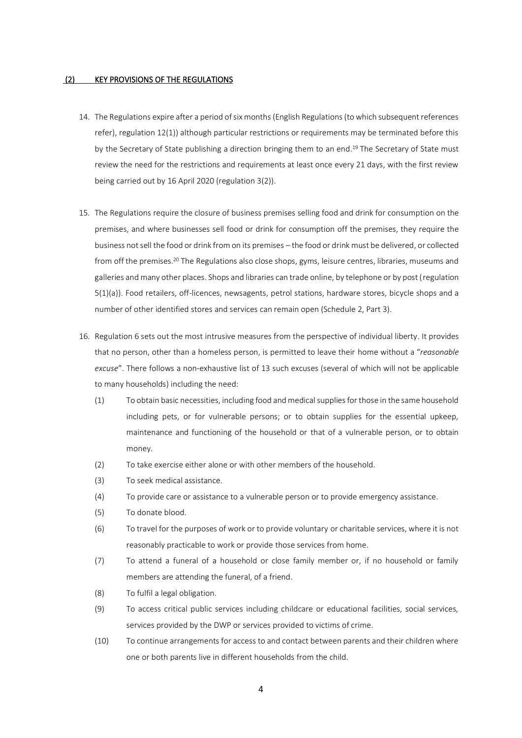### (2) KEY PROVISIONS OF THE REGULATIONS

- 14. The Regulations expire after a period of six months (English Regulations (to which subsequent references refer), regulation 12(1)) although particular restrictions or requirements may be terminated before this by the Secretary of State publishing a direction bringing them to an end. <sup>19</sup> The Secretary of State must review the need for the restrictions and requirements at least once every 21 days, with the first review being carried out by 16 April 2020 (regulation 3(2)).
- 15. The Regulations require the closure of business premises selling food and drink for consumption on the premises, and where businesses sell food or drink for consumption off the premises, they require the business not sell the food or drink from on its premises – the food or drink must be delivered, or collected from off the premises.<sup>20</sup> The Regulations also close shops, gyms, leisure centres, libraries, museums and galleries and many other places. Shops and libraries can trade online, by telephone or by post (regulation 5(1)(a)). Food retailers, off-licences, newsagents, petrol stations, hardware stores, bicycle shops and a number of other identified stores and services can remain open (Schedule 2, Part 3).
- 16. Regulation 6 sets out the most intrusive measures from the perspective of individual liberty. It provides that no person, other than a homeless person, is permitted to leave their home without a "*reasonable excuse*". There follows a non-exhaustive list of 13 such excuses (several of which will not be applicable to many households) including the need:
	- (1) To obtain basic necessities, including food and medical supplies for those in the same household including pets, or for vulnerable persons; or to obtain supplies for the essential upkeep, maintenance and functioning of the household or that of a vulnerable person, or to obtain money.
	- (2) To take exercise either alone or with other members of the household.
	- (3) To seek medical assistance.
	- (4) To provide care or assistance to a vulnerable person or to provide emergency assistance.
	- (5) To donate blood.
	- (6) To travel for the purposes of work or to provide voluntary or charitable services, where it is not reasonably practicable to work or provide those services from home.
	- (7) To attend a funeral of a household or close family member or, if no household or family members are attending the funeral, of a friend.
	- (8) To fulfil a legal obligation.
	- (9) To access critical public services including childcare or educational facilities, social services, services provided by the DWP or services provided to victims of crime.
	- (10) To continue arrangements for access to and contact between parents and their children where one or both parents live in different households from the child.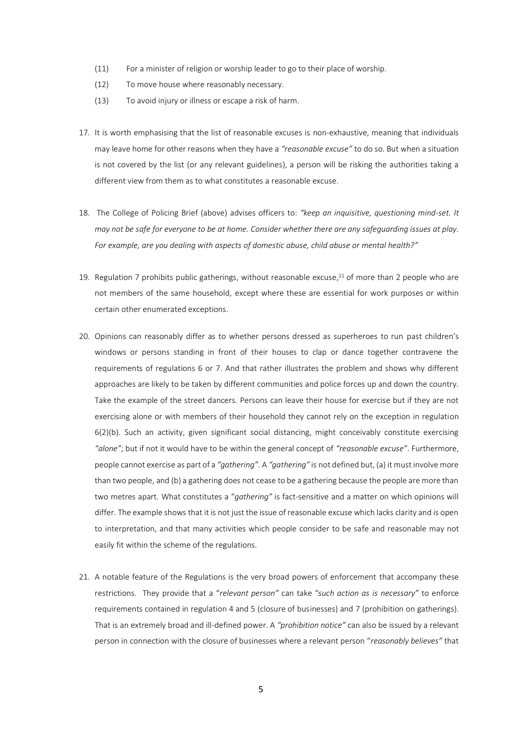- (11) For a minister of religion or worship leader to go to their place of worship.
- (12) To move house where reasonably necessary.
- (13) To avoid injury or illness or escape a risk of harm.
- 17. It is worth emphasising that the list of reasonable excuses is non-exhaustive, meaning that individuals may leave home for other reasons when they have a *"reasonable excuse"* to do so. But when a situation is not covered by the list (or any relevant guidelines), a person will be risking the authorities taking a different view from them as to what constitutes a reasonable excuse.
- 18. The College of Policing Brief (above) advises officers to: *"keep an inquisitive, questioning mind-set. It may not be safe for everyone to be at home. Consider whether there are any safeguarding issues at play. For example, are you dealing with aspects of domestic abuse, child abuse or mental health?"*
- 19. Regulation 7 prohibits public gatherings, without reasonable excuse, <sup>21</sup> of more than 2 people who are not members of the same household, except where these are essential for work purposes or within certain other enumerated exceptions.
- 20. Opinions can reasonably differ as to whether persons dressed as superheroes to run past children's windows or persons standing in front of their houses to clap or dance together contravene the requirements of regulations 6 or 7. And that rather illustrates the problem and shows why different approaches are likely to be taken by different communities and police forces up and down the country. Take the example of the street dancers. Persons can leave their house for exercise but if they are not exercising alone or with members of their household they cannot rely on the exception in regulation 6(2)(b). Such an activity, given significant social distancing, might conceivably constitute exercising *"alone"*; but if not it would have to be within the general concept of *"reasonable excuse"*. Furthermore, people cannot exercise as part of a *"gathering"*. A *"gathering"* is not defined but, (a) it must involve more than two people, and (b) a gathering does not cease to be a gathering because the people are more than two metres apart. What constitutes a "*gathering"* is fact-sensitive and a matter on which opinions will differ. The example shows that it is not just the issue of reasonable excuse which lacks clarity and is open to interpretation, and that many activities which people consider to be safe and reasonable may not easily fit within the scheme of the regulations.
- 21. A notable feature of the Regulations is the very broad powers of enforcement that accompany these restrictions. They provide that a "*relevant person"* can take "*such action as is necessary"* to enforce requirements contained in regulation 4 and 5 (closure of businesses) and 7 (prohibition on gatherings). That is an extremely broad and ill-defined power. A *"prohibition notice"* can also be issued by a relevant person in connection with the closure of businesses where a relevant person "*reasonably believes"* that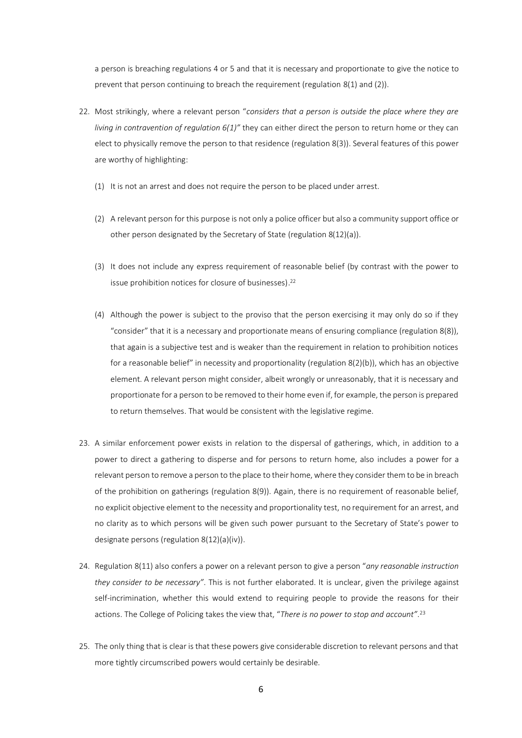a person is breaching regulations 4 or 5 and that it is necessary and proportionate to give the notice to prevent that person continuing to breach the requirement (regulation 8(1) and (2)).

- 22. Most strikingly, where a relevant person "*considers that a person is outside the place where they are living in contravention of regulation 6(1)"* they can either direct the person to return home or they can elect to physically remove the person to that residence (regulation 8(3)). Several features of this power are worthy of highlighting:
	- (1) It is not an arrest and does not require the person to be placed under arrest.
	- (2) A relevant person for this purpose is not only a police officer but also a community support office or other person designated by the Secretary of State (regulation 8(12)(a)).
	- (3) It does not include any express requirement of reasonable belief (by contrast with the power to issue prohibition notices for closure of businesses). 22
	- (4) Although the power is subject to the proviso that the person exercising it may only do so if they "consider" that it is a necessary and proportionate means of ensuring compliance (regulation 8(8)), that again is a subjective test and is weaker than the requirement in relation to prohibition notices for a reasonable belief" in necessity and proportionality (regulation 8(2)(b)), which has an objective element. A relevant person might consider, albeit wrongly or unreasonably, that it is necessary and proportionate for a person to be removed to their home even if, for example, the person is prepared to return themselves. That would be consistent with the legislative regime.
- 23. A similar enforcement power exists in relation to the dispersal of gatherings, which, in addition to a power to direct a gathering to disperse and for persons to return home, also includes a power for a relevant person to remove a person to the place to their home, where they consider them to be in breach of the prohibition on gatherings (regulation 8(9)). Again, there is no requirement of reasonable belief, no explicit objective element to the necessity and proportionality test, no requirement for an arrest, and no clarity as to which persons will be given such power pursuant to the Secretary of State's power to designate persons (regulation 8(12)(a)(iv)).
- 24. Regulation 8(11) also confers a power on a relevant person to give a person "*any reasonable instruction they consider to be necessary"*. This is not further elaborated. It is unclear, given the privilege against self-incrimination, whether this would extend to requiring people to provide the reasons for their actions. The College of Policing takes the view that, "*There is no power to stop and account"*. 23
- 25. The only thing that is clear is that these powers give considerable discretion to relevant persons and that more tightly circumscribed powers would certainly be desirable.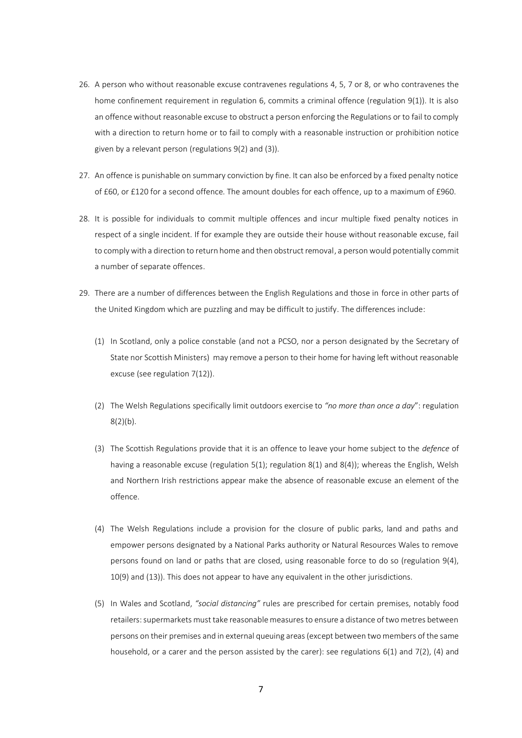- 26. A person who without reasonable excuse contravenes regulations 4, 5, 7 or 8, or who contravenes the home confinement requirement in regulation 6, commits a criminal offence (regulation 9(1)). It is also an offence without reasonable excuse to obstruct a person enforcing the Regulations or to fail to comply with a direction to return home or to fail to comply with a reasonable instruction or prohibition notice given by a relevant person (regulations 9(2) and (3)).
- 27. An offence is punishable on summary conviction by fine. It can also be enforced by a fixed penalty notice of £60, or £120 for a second offence. The amount doubles for each offence, up to a maximum of £960.
- 28. It is possible for individuals to commit multiple offences and incur multiple fixed penalty notices in respect of a single incident. If for example they are outside their house without reasonable excuse, fail to comply with a direction to return home and then obstruct removal, a person would potentially commit a number of separate offences.
- 29. There are a number of differences between the English Regulations and those in force in other parts of the United Kingdom which are puzzling and may be difficult to justify. The differences include:
	- (1) In Scotland, only a police constable (and not a PCSO, nor a person designated by the Secretary of State nor Scottish Ministers) may remove a person to their home for having left without reasonable excuse (see regulation 7(12)).
	- (2) The Welsh Regulations specifically limit outdoors exercise to *"no more than once a day*": regulation  $8(2)(b)$ .
	- (3) The Scottish Regulations provide that it is an offence to leave your home subject to the *defence* of having a reasonable excuse (regulation 5(1); regulation 8(1) and 8(4)); whereas the English, Welsh and Northern Irish restrictions appear make the absence of reasonable excuse an element of the offence.
	- (4) The Welsh Regulations include a provision for the closure of public parks, land and paths and empower persons designated by a National Parks authority or Natural Resources Wales to remove persons found on land or paths that are closed, using reasonable force to do so (regulation 9(4), 10(9) and (13)). This does not appear to have any equivalent in the other jurisdictions.
	- (5) In Wales and Scotland, *"social distancing"* rules are prescribed for certain premises, notably food retailers: supermarkets must take reasonable measures to ensure a distance of two metres between persons on their premises and in external queuing areas (except between two members of the same household, or a carer and the person assisted by the carer): see regulations 6(1) and 7(2), (4) and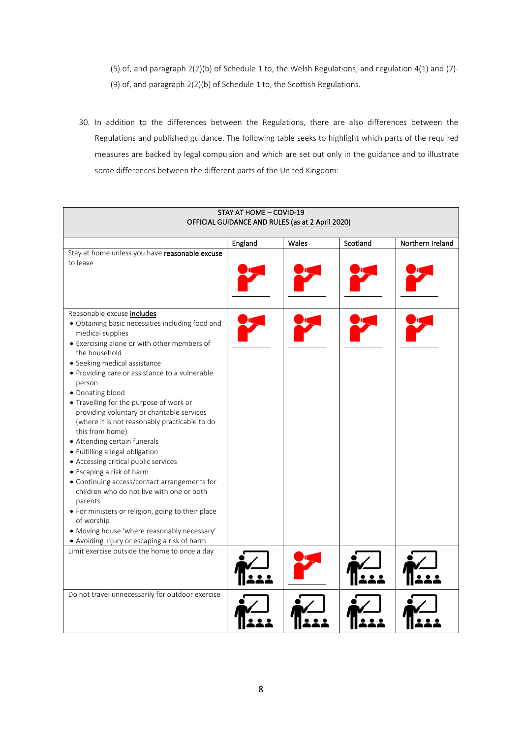(5) of, and paragraph 2(2)(b) of Schedule 1 to, the Welsh Regulations, and regulation 4(1) and (7)- (9) of, and paragraph 2(2)(b) of Schedule 1 to, the Scottish Regulations.

30. In addition to the differences between the Regulations, there are also differences between the Regulations and published guidance. The following table seeks to highlight which parts of the required measures are backed by legal compulsion and which are set out only in the guidance and to illustrate some differences between the different parts of the United Kingdom:

| STAY AT HOME - COVID-19                                              |         |       |          |                  |  |  |
|----------------------------------------------------------------------|---------|-------|----------|------------------|--|--|
| OFFICIAL GUIDANCE AND RULES (as at 2 April 2020)                     |         |       |          |                  |  |  |
|                                                                      |         | Wales | Scotland | Northern Ireland |  |  |
|                                                                      | England |       |          |                  |  |  |
| Stay at home unless you have reasonable excuse<br>to leave           |         |       |          |                  |  |  |
|                                                                      |         |       |          |                  |  |  |
|                                                                      |         |       |          |                  |  |  |
|                                                                      |         |       |          |                  |  |  |
| Reasonable excuse includes                                           |         |       |          |                  |  |  |
| · Obtaining basic necessities including food and<br>medical supplies |         |       |          |                  |  |  |
| • Exercising alone or with other members of                          |         |       |          |                  |  |  |
| the household<br>• Seeking medical assistance                        |         |       |          |                  |  |  |
| • Providing care or assistance to a vulnerable                       |         |       |          |                  |  |  |
| person                                                               |         |       |          |                  |  |  |
| · Donating blood                                                     |         |       |          |                  |  |  |
| • Travelling for the purpose of work or                              |         |       |          |                  |  |  |
| providing voluntary or charitable services                           |         |       |          |                  |  |  |
| (where it is not reasonably practicable to do                        |         |       |          |                  |  |  |
| this from home)                                                      |         |       |          |                  |  |  |
| • Attending certain funerals                                         |         |       |          |                  |  |  |
| • Fulfilling a legal obligation                                      |         |       |          |                  |  |  |
| • Accessing critical public services<br>• Escaping a risk of harm    |         |       |          |                  |  |  |
| • Continuing access/contact arrangements for                         |         |       |          |                  |  |  |
| children who do not live with one or both                            |         |       |          |                  |  |  |
| parents                                                              |         |       |          |                  |  |  |
| • For ministers or religion, going to their place                    |         |       |          |                  |  |  |
| of worship                                                           |         |       |          |                  |  |  |
| · Moving house 'where reasonably necessary'                          |         |       |          |                  |  |  |
| • Avoiding injury or escaping a risk of harm                         |         |       |          |                  |  |  |
| Limit exercise outside the home to once a day                        |         |       |          |                  |  |  |
|                                                                      |         |       |          |                  |  |  |
|                                                                      |         |       |          |                  |  |  |
|                                                                      |         |       |          |                  |  |  |
| Do not travel unnecessarily for outdoor exercise                     |         |       |          |                  |  |  |
|                                                                      |         |       |          |                  |  |  |
|                                                                      |         |       |          |                  |  |  |
|                                                                      |         |       |          |                  |  |  |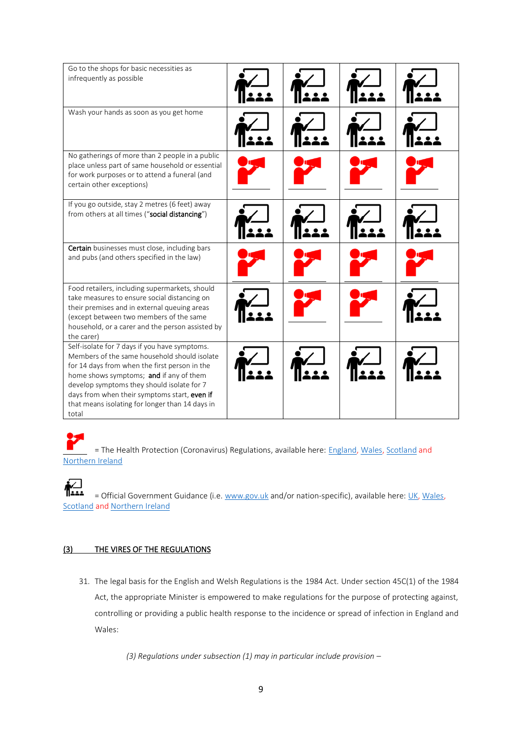| Go to the shops for basic necessities as<br>infrequently as possible                                                                                                                                                                                                                                                                                |  |  |
|-----------------------------------------------------------------------------------------------------------------------------------------------------------------------------------------------------------------------------------------------------------------------------------------------------------------------------------------------------|--|--|
| Wash your hands as soon as you get home                                                                                                                                                                                                                                                                                                             |  |  |
| No gatherings of more than 2 people in a public<br>place unless part of same household or essential<br>for work purposes or to attend a funeral (and<br>certain other exceptions)                                                                                                                                                                   |  |  |
| If you go outside, stay 2 metres (6 feet) away<br>from others at all times ("social distancing")                                                                                                                                                                                                                                                    |  |  |
| Certain businesses must close, including bars<br>and pubs (and others specified in the law)                                                                                                                                                                                                                                                         |  |  |
| Food retailers, including supermarkets, should<br>take measures to ensure social distancing on<br>their premises and in external queuing areas<br>(except between two members of the same<br>household, or a carer and the person assisted by<br>the carer)                                                                                         |  |  |
| Self-isolate for 7 days if you have symptoms.<br>Members of the same household should isolate<br>for 14 days from when the first person in the<br>home shows symptoms; and if any of them<br>develop symptoms they should isolate for 7<br>days from when their symptoms start, even if<br>that means isolating for longer than 14 days in<br>total |  |  |

= The Health Protection (Coronavirus) Regulations, available here: **England, [Wales,](https://www.legislation.gov.uk/wsi/2020/353/contents/made) [Scotland](http://www.legislation.gov.uk/ssi/2020/103/regulation/5/made) and** [Northern Ireland](https://www.health-ni.gov.uk/publications/health-protection-coronavirus-restrictions-northern-ireland-regulations-2020)

**i** = Official Government Guidance (i.e[. www.gov.uk](http://www.gov.uk/) and/or nation-specific), available here[: UK,](https://www.gov.uk/coronavirus) [Wales,](https://gov.wales/coronavirus) [Scotland](https://www.gov.scot/coronavirus-covid-19/) an[d Northern Ireland](https://www.nidirect.gov.uk/campaigns/coronavirus-covid-19)

# (3) THE VIRES OF THE REGULATIONS

31. The legal basis for the English and Welsh Regulations is the 1984 Act. Under section 45C(1) of the 1984 Act, the appropriate Minister is empowered to make regulations for the purpose of protecting against, controlling or providing a public health response to the incidence or spread of infection in England and Wales:

*(3) Regulations under subsection (1) may in particular include provision –*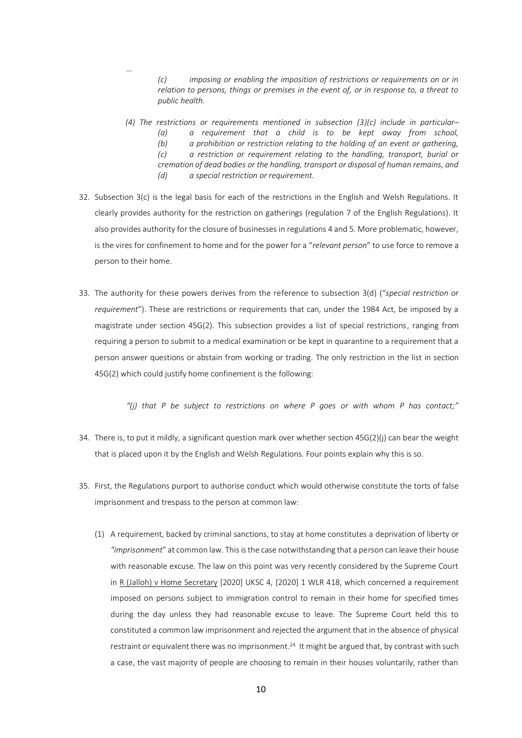*(c) imposing or enabling the imposition of restrictions or requirements on or in relation to persons, things or premises in the event of, or in response to, a threat to public health.* 

- *(4) The restrictions or requirements mentioned in subsection (3)(c) include in particular– (a) a requirement that a child is to be kept away from school, (b) a prohibition or restriction relating to the holding of an event or gathering, (c) a restriction or requirement relating to the handling, transport, burial or cremation of dead bodies or the handling, transport or disposal of human remains, and (d) a special restriction or requirement.*
- 32. Subsection 3(c) is the legal basis for each of the restrictions in the English and Welsh Regulations. It clearly provides authority for the restriction on gatherings (regulation 7 of the English Regulations). It also provides authority for the closure of businesses in regulations 4 and 5. More problematic, however, is the vires for confinement to home and for the power for a "*relevant person*" to use force to remove a person to their home.

*…*

33. The authority for these powers derives from the reference to subsection 3(d) ("*special restriction or requirement*"). These are restrictions or requirements that can, under the 1984 Act, be imposed by a magistrate under section 45G(2). This subsection provides a list of special restrictions, ranging from requiring a person to submit to a medical examination or be kept in quarantine to a requirement that a person answer questions or abstain from working or trading. The only restriction in the list in section 45G(2) which could justify home confinement is the following:

*"(j) that P be subject to restrictions on where P goes or with whom P has contact;"*

- 34. There is, to put it mildly, a significant question mark over whether section 45G(2)(j) can bear the weight that is placed upon it by the English and Welsh Regulations. Four points explain why this is so.
- 35. First, the Regulations purport to authorise conduct which would otherwise constitute the torts of false imprisonment and trespass to the person at common law:
	- (1) A requirement, backed by criminal sanctions, to stay at home constitutes a deprivation of liberty or *"imprisonment*" at common law. This is the case notwithstanding that a person can leave their house with reasonable excuse. The law on this point was very recently considered by the Supreme Court in R (Jalloh) v Home Secretary [2020] UKSC 4, [2020] 1 WLR 418, which concerned a requirement imposed on persons subject to immigration control to remain in their home for specified times during the day unless they had reasonable excuse to leave. The Supreme Court held this to constituted a common law imprisonment and rejected the argument that in the absence of physical restraint or equivalent there was no imprisonment.<sup>24</sup> It might be argued that, by contrast with such a case, the vast majority of people are choosing to remain in their houses voluntarily, rather than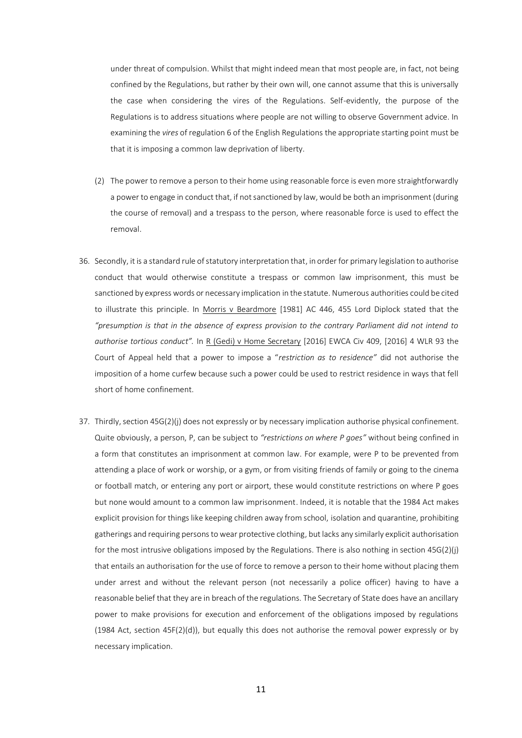under threat of compulsion. Whilst that might indeed mean that most people are, in fact, not being confined by the Regulations, but rather by their own will, one cannot assume that this is universally the case when considering the vires of the Regulations. Self-evidently, the purpose of the Regulations is to address situations where people are not willing to observe Government advice. In examining the *vires* of regulation 6 of the English Regulations the appropriate starting point must be that it is imposing a common law deprivation of liberty.

- (2) The power to remove a person to their home using reasonable force is even more straightforwardly a power to engage in conduct that, if not sanctioned by law, would be both an imprisonment (during the course of removal) and a trespass to the person, where reasonable force is used to effect the removal.
- 36. Secondly, it is a standard rule of statutory interpretation that, in order for primary legislation to authorise conduct that would otherwise constitute a trespass or common law imprisonment, this must be sanctioned by express words or necessary implication in the statute. Numerous authorities could be cited to illustrate this principle. In Morris v Beardmore [1981] AC 446, 455 Lord Diplock stated that the *"presumption is that in the absence of express provision to the contrary Parliament did not intend to authorise tortious conduct".* In R (Gedi) v Home Secretary [2016] EWCA Civ 409, [2016] 4 WLR 93 the Court of Appeal held that a power to impose a "*restriction as to residence"* did not authorise the imposition of a home curfew because such a power could be used to restrict residence in ways that fell short of home confinement.
- 37. Thirdly, section 45G(2)(j) does not expressly or by necessary implication authorise physical confinement. Quite obviously, a person, P, can be subject to *"restrictions on where P goes"* without being confined in a form that constitutes an imprisonment at common law. For example, were P to be prevented from attending a place of work or worship, or a gym, or from visiting friends of family or going to the cinema or football match, or entering any port or airport, these would constitute restrictions on where P goes but none would amount to a common law imprisonment. Indeed, it is notable that the 1984 Act makes explicit provision for things like keeping children away from school, isolation and quarantine, prohibiting gatherings and requiring persons to wear protective clothing, but lacks any similarly explicit authorisation for the most intrusive obligations imposed by the Regulations. There is also nothing in section 45G(2)(j) that entails an authorisation for the use of force to remove a person to their home without placing them under arrest and without the relevant person (not necessarily a police officer) having to have a reasonable belief that they are in breach of the regulations. The Secretary of State does have an ancillary power to make provisions for execution and enforcement of the obligations imposed by regulations (1984 Act, section 45F(2)(d)), but equally this does not authorise the removal power expressly or by necessary implication.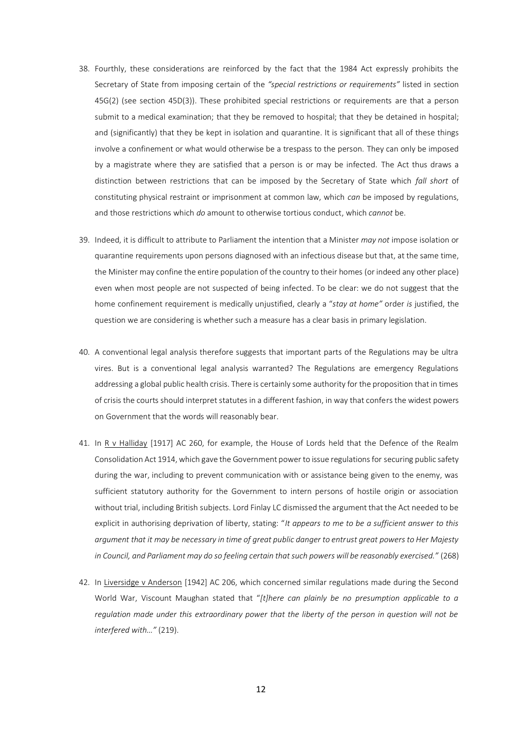- 38. Fourthly, these considerations are reinforced by the fact that the 1984 Act expressly prohibits the Secretary of State from imposing certain of the *"special restrictions or requirements"* listed in section 45G(2) (see section 45D(3)). These prohibited special restrictions or requirements are that a person submit to a medical examination; that they be removed to hospital; that they be detained in hospital; and (significantly) that they be kept in isolation and quarantine. It is significant that all of these things involve a confinement or what would otherwise be a trespass to the person. They can only be imposed by a magistrate where they are satisfied that a person is or may be infected. The Act thus draws a distinction between restrictions that can be imposed by the Secretary of State which *fall short* of constituting physical restraint or imprisonment at common law, which *can* be imposed by regulations, and those restrictions which *do* amount to otherwise tortious conduct, which *cannot* be.
- 39. Indeed, it is difficult to attribute to Parliament the intention that a Minister *may not* impose isolation or quarantine requirements upon persons diagnosed with an infectious disease but that, at the same time, the Minister may confine the entire population of the country to their homes (or indeed any other place) even when most people are not suspected of being infected. To be clear: we do not suggest that the home confinement requirement is medically unjustified, clearly a "*stay at home"* order *is* justified, the question we are considering is whether such a measure has a clear basis in primary legislation.
- 40. A conventional legal analysis therefore suggests that important parts of the Regulations may be ultra vires. But is a conventional legal analysis warranted? The Regulations are emergency Regulations addressing a global public health crisis. There is certainly some authority for the proposition that in times of crisis the courts should interpret statutes in a different fashion, in way that confers the widest powers on Government that the words will reasonably bear.
- 41. In R v Halliday [1917] AC 260, for example, the House of Lords held that the Defence of the Realm Consolidation Act 1914, which gave the Government power to issue regulations for securing public safety during the war, including to prevent communication with or assistance being given to the enemy, was sufficient statutory authority for the Government to intern persons of hostile origin or association without trial, including British subjects. Lord Finlay LC dismissed the argument that the Act needed to be explicit in authorising deprivation of liberty, stating: "*It appears to me to be a sufficient answer to this argument that it may be necessary in time of great public danger to entrust great powers to Her Majesty in Council, and Parliament may do so feeling certain that such powers will be reasonably exercised."* (268)
- 42. In Liversidge v Anderson [1942] AC 206, which concerned similar regulations made during the Second World War, Viscount Maughan stated that "*[t]here can plainly be no presumption applicable to a regulation made under this extraordinary power that the liberty of the person in question will not be interfered with…"* (219).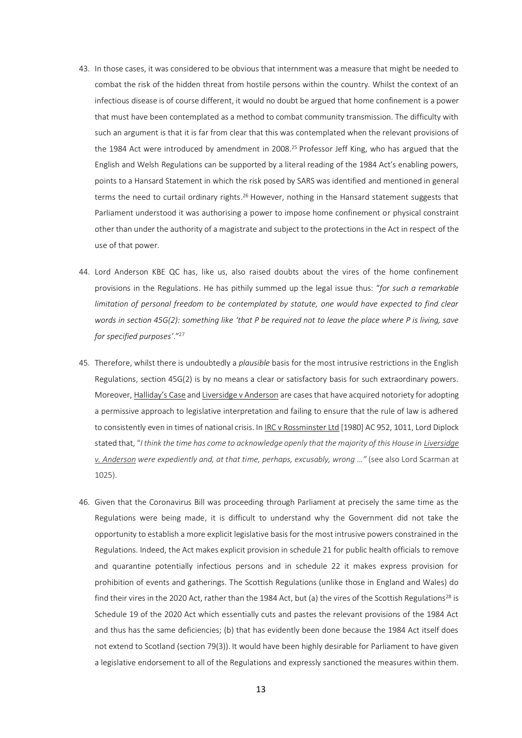- 43. In those cases, it was considered to be obvious that internment was a measure that might be needed to combat the risk of the hidden threat from hostile persons within the country. Whilst the context of an infectious disease is of course different, it would no doubt be argued that home confinement is a power that must have been contemplated as a method to combat community transmission. The difficulty with such an argument is that it is far from clear that this was contemplated when the relevant provisions of the 1984 Act were introduced by amendment in 2008. <sup>25</sup> Professor Jeff King, who has argued that the English and Welsh Regulations can be supported by a literal reading of the 1984 Act's enabling powers, points to a Hansard Statement in which the risk posed by SARS was identified and mentioned in general terms the need to curtail ordinary rights.<sup>26</sup> However, nothing in the Hansard statement suggests that Parliament understood it was authorising a power to impose home confinement or physical constraint other than under the authority of a magistrate and subject to the protections in the Act in respect of the use of that power.
- 44. Lord Anderson KBE QC has, like us, also raised doubts about the vires of the home confinement provisions in the Regulations. He has pithily summed up the legal issue thus: "*for such a remarkable limitation of personal freedom to be contemplated by statute, one would have expected to find clear words in section 45G(2): something like 'that P be required not to leave the place where P is living, save for specified purposes'*."<sup>27</sup>
- 45. Therefore, whilst there is undoubtedly a *plausible* basis for the most intrusive restrictions in the English Regulations, section 45G(2) is by no means a clear or satisfactory basis for such extraordinary powers. Moreover, Halliday's Case and Liversidge v Anderson are cases that have acquired notoriety for adopting a permissive approach to legislative interpretation and failing to ensure that the rule of law is adhered to consistently even in times of national crisis. In IRC v Rossminster Ltd [1980] AC 952, 1011, Lord Diplock stated that, "*I think the time has come to acknowledge openly that the majority of this House in Liversidge v. Anderson were expediently and, at that time, perhaps, excusably, wrong …"* (see also Lord Scarman at 1025).
- 46. Given that the Coronavirus Bill was proceeding through Parliament at precisely the same time as the Regulations were being made, it is difficult to understand why the Government did not take the opportunity to establish a more explicit legislative basis for the most intrusive powers constrained in the Regulations. Indeed, the Act makes explicit provision in schedule 21 for public health officials to remove and quarantine potentially infectious persons and in schedule 22 it makes express provision for prohibition of events and gatherings. The Scottish Regulations (unlike those in England and Wales) do find their vires in the 2020 Act, rather than the 1984 Act, but (a) the vires of the Scottish Regulations<sup>28</sup> is Schedule 19 of the 2020 Act which essentially cuts and pastes the relevant provisions of the 1984 Act and thus has the same deficiencies; (b) that has evidently been done because the 1984 Act itself does not extend to Scotland (section 79(3)). It would have been highly desirable for Parliament to have given a legislative endorsement to all of the Regulations and expressly sanctioned the measures within them.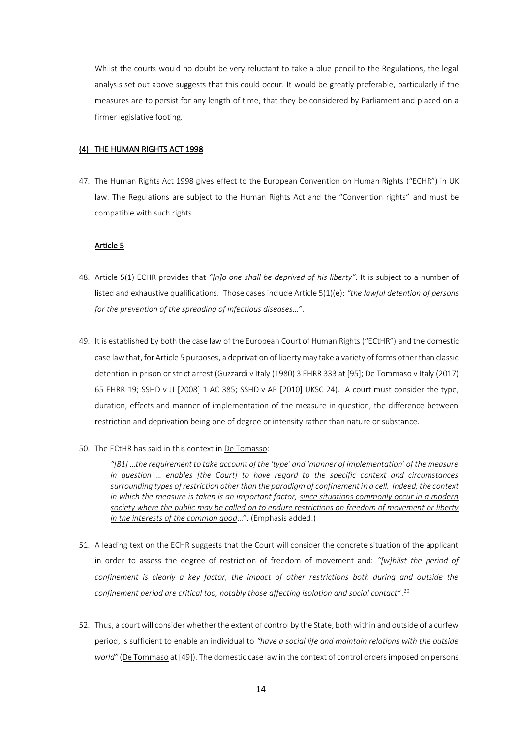Whilst the courts would no doubt be very reluctant to take a blue pencil to the Regulations, the legal analysis set out above suggests that this could occur. It would be greatly preferable, particularly if the measures are to persist for any length of time, that they be considered by Parliament and placed on a firmer legislative footing.

### (4) THE HUMAN RIGHTS ACT 1998

47. The Human Rights Act 1998 gives effect to the European Convention on Human Rights ("ECHR") in UK law. The Regulations are subject to the Human Rights Act and the "Convention rights" and must be compatible with such rights.

# Article 5

- 48. Article 5(1) ECHR provides that *"[n]o one shall be deprived of his liberty"*. It is subject to a number of listed and exhaustive qualifications. Those cases include Article 5(1)(e): *"the lawful detention of persons for the prevention of the spreading of infectious diseases…*".
- 49. It is established by both the case law of the European Court of Human Rights ("ECtHR") and the domestic case law that, for Article 5 purposes, a deprivation of liberty may take a variety of forms other than classic detention in prison or strict arrest (Guzzardi v Italy (1980) 3 EHRR 333 at [95]; De Tommaso v Italy (2017) 65 EHRR 19; SSHD v JJ [2008] 1 AC 385; SSHD v AP [2010] UKSC 24). A court must consider the type, duration, effects and manner of implementation of the measure in question, the difference between restriction and deprivation being one of degree or intensity rather than nature or substance.
- 50. The ECtHR has said in this context in De Tomasso:

*"[81]* …*the requirement to take account of the 'type' and 'manner of implementation' of the measure in question … enables [the Court] to have regard to the specific context and circumstances surrounding types of restriction other than the paradigm of confinement in a cell. Indeed, the context in which the measure is taken is an important factor, since situations commonly occur in a modern society where the public may be called on to endure restrictions on freedom of movement or liberty in the interests of the common good*…". (Emphasis added.)

- 51. A leading text on the ECHR suggests that the Court will consider the concrete situation of the applicant in order to assess the degree of restriction of freedom of movement and: *"[w]hilst the period of confinement is clearly a key factor, the impact of other restrictions both during and outside the confinement period are critical too, notably those affecting isolation and social contact*".<sup>29</sup>
- 52. Thus, a court will consider whether the extent of control by the State, both within and outside of a curfew period, is sufficient to enable an individual to *"have a social life and maintain relations with the outside world"* (De Tommaso at [49]). The domestic case law in the context of control orders imposed on persons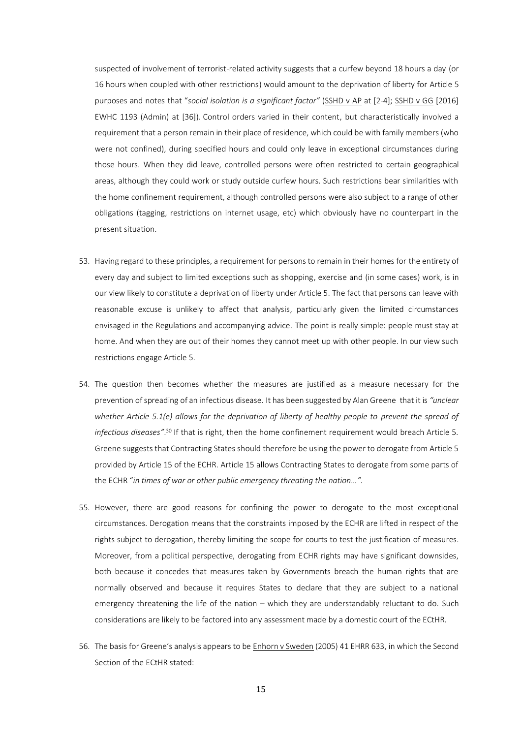suspected of involvement of terrorist-related activity suggests that a curfew beyond 18 hours a day (or 16 hours when coupled with other restrictions) would amount to the deprivation of liberty for Article 5 purposes and notes that "social isolation is a significant factor" (SSHD v AP at [2-4]; SSHD v GG [2016] EWHC 1193 (Admin) at [36]). Control orders varied in their content, but characteristically involved a requirement that a person remain in their place of residence, which could be with family members (who were not confined), during specified hours and could only leave in exceptional circumstances during those hours. When they did leave, controlled persons were often restricted to certain geographical areas, although they could work or study outside curfew hours. Such restrictions bear similarities with the home confinement requirement, although controlled persons were also subject to a range of other obligations (tagging, restrictions on internet usage, etc) which obviously have no counterpart in the present situation.

- 53. Having regard to these principles, a requirement for persons to remain in their homes for the entirety of every day and subject to limited exceptions such as shopping, exercise and (in some cases) work, is in our view likely to constitute a deprivation of liberty under Article 5. The fact that persons can leave with reasonable excuse is unlikely to affect that analysis, particularly given the limited circumstances envisaged in the Regulations and accompanying advice. The point is really simple: people must stay at home. And when they are out of their homes they cannot meet up with other people. In our view such restrictions engage Article 5.
- 54. The question then becomes whether the measures are justified as a measure necessary for the prevention of spreading of an infectious disease. It has been suggested by Alan Greene that it is *"unclear whether Article 5.1(e) allows for the deprivation of liberty of healthy people to prevent the spread of infectious diseases"*. <sup>30</sup> If that is right, then the home confinement requirement would breach Article 5. Greene suggests that Contracting States should therefore be using the power to derogate from Article 5 provided by Article 15 of the ECHR. Article 15 allows Contracting States to derogate from some parts of the ECHR "*in times of war or other public emergency threating the nation…".*
- 55. However, there are good reasons for confining the power to derogate to the most exceptional circumstances. Derogation means that the constraints imposed by the ECHR are lifted in respect of the rights subject to derogation, thereby limiting the scope for courts to test the justification of measures. Moreover, from a political perspective, derogating from ECHR rights may have significant downsides, both because it concedes that measures taken by Governments breach the human rights that are normally observed and because it requires States to declare that they are subject to a national emergency threatening the life of the nation – which they are understandably reluctant to do. Such considerations are likely to be factored into any assessment made by a domestic court of the ECtHR.
- 56. The basis for Greene's analysis appears to be **Enhorn v Sweden** (2005) 41 EHRR 633, in which the Second Section of the ECtHR stated: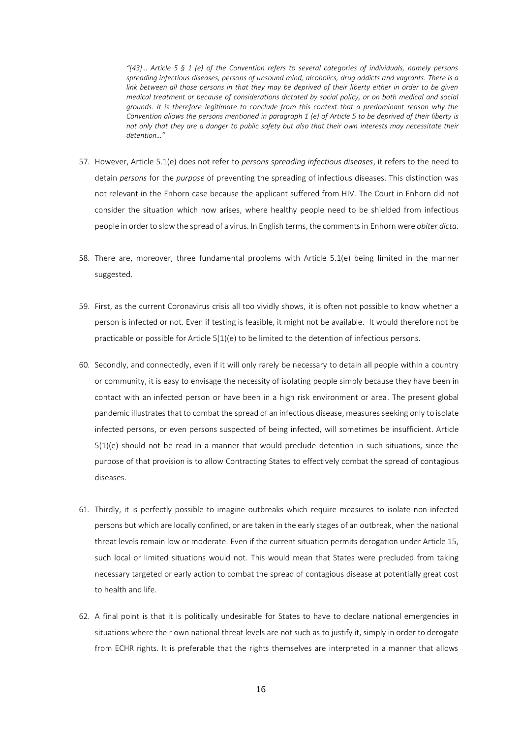*"[43]… Article 5 § 1 (e) of the Convention refers to several categories of individuals, namely persons spreading infectious diseases, persons of unsound mind, alcoholics, drug addicts and vagrants. There is a link between all those persons in that they may be deprived of their liberty either in order to be given medical treatment or because of considerations dictated by social policy, or on both medical and social grounds. It is therefore legitimate to conclude from this context that a predominant reason why the Convention allows the persons mentioned in paragraph 1 (e) of Article 5 to be deprived of their liberty is not only that they are a danger to public safety but also that their own interests may necessitate their detention…"*

- 57. However, Article 5.1(e) does not refer to *persons spreading infectious diseases*, it refers to the need to detain *persons* for the *purpose* of preventing the spreading of infectious diseases. This distinction was not relevant in the Enhorn case because the applicant suffered from HIV. The Court in Enhorn did not consider the situation which now arises, where healthy people need to be shielded from infectious people in order to slow the spread of a virus. In English terms, the comments in Enhorn were *obiter dicta*.
- 58. There are, moreover, three fundamental problems with Article 5.1(e) being limited in the manner suggested.
- 59. First, as the current Coronavirus crisis all too vividly shows, it is often not possible to know whether a person is infected or not. Even if testing is feasible, it might not be available. It would therefore not be practicable or possible for Article 5(1)(e) to be limited to the detention of infectious persons.
- 60. Secondly, and connectedly, even if it will only rarely be necessary to detain all people within a country or community, it is easy to envisage the necessity of isolating people simply because they have been in contact with an infected person or have been in a high risk environment or area. The present global pandemic illustrates that to combat the spread of an infectious disease, measures seeking only to isolate infected persons, or even persons suspected of being infected, will sometimes be insufficient. Article 5(1)(e) should not be read in a manner that would preclude detention in such situations, since the purpose of that provision is to allow Contracting States to effectively combat the spread of contagious diseases.
- 61. Thirdly, it is perfectly possible to imagine outbreaks which require measures to isolate non-infected persons but which are locally confined, or are taken in the early stages of an outbreak, when the national threat levels remain low or moderate. Even if the current situation permits derogation under Article 15, such local or limited situations would not. This would mean that States were precluded from taking necessary targeted or early action to combat the spread of contagious disease at potentially great cost to health and life.
- 62. A final point is that it is politically undesirable for States to have to declare national emergencies in situations where their own national threat levels are not such as to justify it, simply in order to derogate from ECHR rights. It is preferable that the rights themselves are interpreted in a manner that allows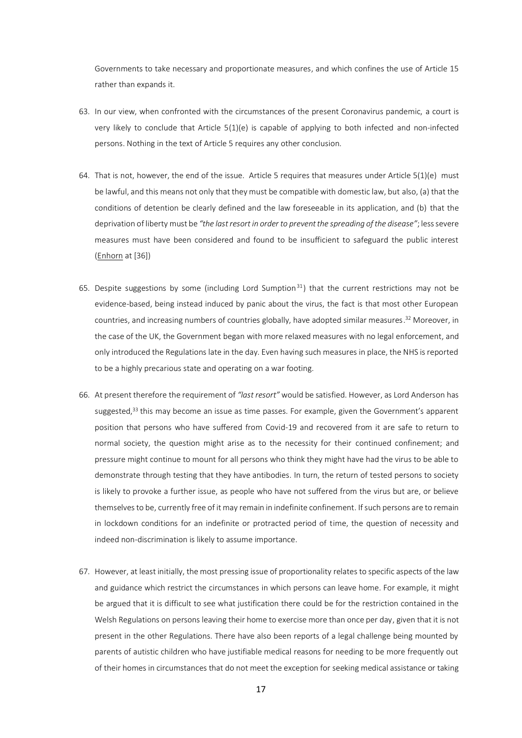Governments to take necessary and proportionate measures, and which confines the use of Article 15 rather than expands it.

- 63. In our view, when confronted with the circumstances of the present Coronavirus pandemic, a court is very likely to conclude that Article 5(1)(e) is capable of applying to both infected and non-infected persons. Nothing in the text of Article 5 requires any other conclusion.
- 64. That is not, however, the end of the issue. Article 5 requires that measures under Article  $5(1)(e)$  must be lawful, and this means not only that they must be compatible with domestic law, but also, (a) that the conditions of detention be clearly defined and the law foreseeable in its application, and (b) that the deprivation of liberty must be *"the last resort in order to prevent the spreading of the disease"*; less severe measures must have been considered and found to be insufficient to safeguard the public interest (Enhorn at [36])
- 65. Despite suggestions by some (including Lord Sumption<sup>31</sup>) that the current restrictions may not be evidence-based, being instead induced by panic about the virus, the fact is that most other European countries, and increasing numbers of countries globally, have adopted similar measures. <sup>32</sup> Moreover, in the case of the UK, the Government began with more relaxed measures with no legal enforcement, and only introduced the Regulations late in the day. Even having such measures in place, the NHS is reported to be a highly precarious state and operating on a war footing.
- 66. At present therefore the requirement of *"last resort"* would be satisfied. However, as Lord Anderson has suggested, $33$  this may become an issue as time passes. For example, given the Government's apparent position that persons who have suffered from Covid-19 and recovered from it are safe to return to normal society, the question might arise as to the necessity for their continued confinement; and pressure might continue to mount for all persons who think they might have had the virus to be able to demonstrate through testing that they have antibodies. In turn, the return of tested persons to society is likely to provoke a further issue, as people who have not suffered from the virus but are, or believe themselves to be, currently free of it may remain in indefinite confinement. If such persons are to remain in lockdown conditions for an indefinite or protracted period of time, the question of necessity and indeed non-discrimination is likely to assume importance.
- 67. However, at least initially, the most pressing issue of proportionality relates to specific aspects of the law and guidance which restrict the circumstances in which persons can leave home. For example, it might be argued that it is difficult to see what justification there could be for the restriction contained in the Welsh Regulations on persons leaving their home to exercise more than once per day, given that it is not present in the other Regulations. There have also been reports of a legal challenge being mounted by parents of autistic children who have justifiable medical reasons for needing to be more frequently out of their homes in circumstances that do not meet the exception for seeking medical assistance or taking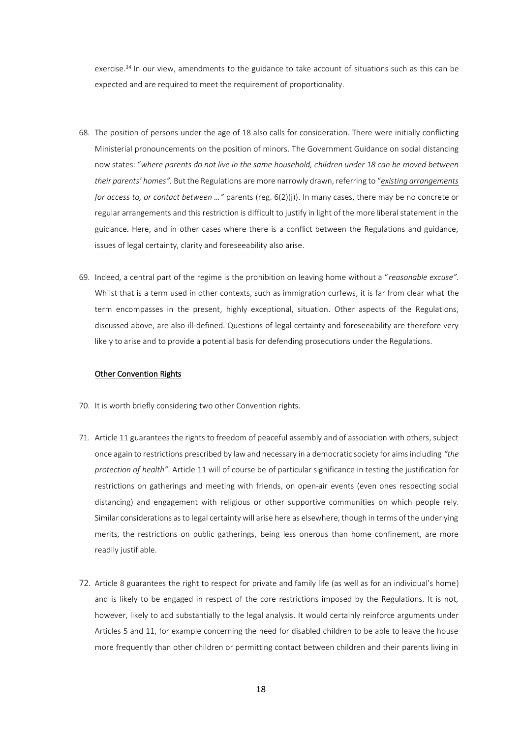exercise.<sup>34</sup> In our view, amendments to the guidance to take account of situations such as this can be expected and are required to meet the requirement of proportionality.

- 68. The position of persons under the age of 18 also calls for consideration. There were initially conflicting Ministerial pronouncements on the position of minors. The Government Guidance on social distancing now states: "*where parents do not live in the same household, children under 18 can be moved between their parents' homes".* But the Regulations are more narrowly drawn, referring to "*existing arrangements for access to, or contact between …"* parents (reg. 6(2)(j)). In many cases, there may be no concrete or regular arrangements and this restriction is difficult to justify in light of the more liberal statement in the guidance. Here, and in other cases where there is a conflict between the Regulations and guidance, issues of legal certainty, clarity and foreseeability also arise.
- 69. Indeed, a central part of the regime is the prohibition on leaving home without a "*reasonable excuse".* Whilst that is a term used in other contexts, such as immigration curfews, it is far from clear what the term encompasses in the present, highly exceptional, situation. Other aspects of the Regulations, discussed above, are also ill-defined. Questions of legal certainty and foreseeability are therefore very likely to arise and to provide a potential basis for defending prosecutions under the Regulations.

#### Other Convention Rights

- 70. It is worth briefly considering two other Convention rights.
- 71. Article 11 guarantees the rights to freedom of peaceful assembly and of association with others, subject once again to restrictions prescribed by law and necessary in a democratic society for aims including *"the protection of health"*. Article 11 will of course be of particular significance in testing the justification for restrictions on gatherings and meeting with friends, on open-air events (even ones respecting social distancing) and engagement with religious or other supportive communities on which people rely. Similar considerations as to legal certainty will arise here as elsewhere, though in terms of the underlying merits, the restrictions on public gatherings, being less onerous than home confinement, are more readily justifiable.
- 72. Article 8 guarantees the right to respect for private and family life (as well as for an individual's home) and is likely to be engaged in respect of the core restrictions imposed by the Regulations. It is not, however, likely to add substantially to the legal analysis. It would certainly reinforce arguments under Articles 5 and 11, for example concerning the need for disabled children to be able to leave the house more frequently than other children or permitting contact between children and their parents living in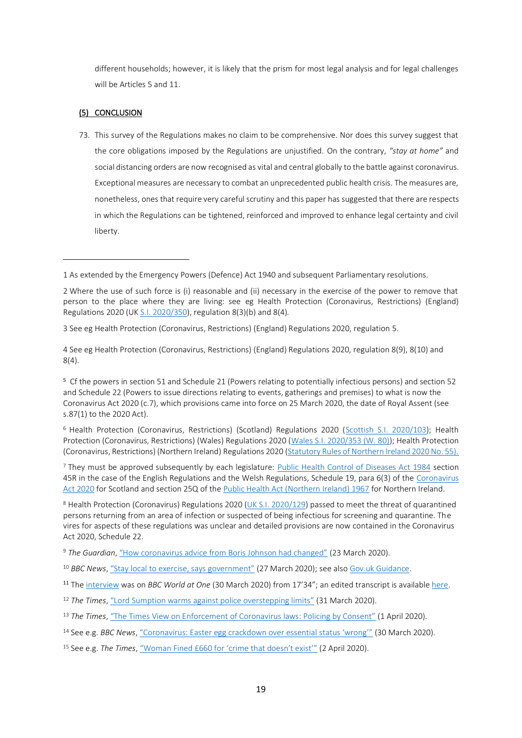different households; however, it is likely that the prism for most legal analysis and for legal challenges will be Articles 5 and 11.

# (5) CONCLUSION

73. This survey of the Regulations makes no claim to be comprehensive. Nor does this survey suggest that the core obligations imposed by the Regulations are unjustified. On the contrary, *"stay at home"* and social distancing orders are now recognised as vital and central globally to the battle against coronavirus. Exceptional measures are necessary to combat an unprecedented public health crisis. The measures are, nonetheless, ones that require very careful scrutiny and this paper has suggested that there are respects in which the Regulations can be tightened, reinforced and improved to enhance legal certainty and civil liberty.

<sup>6</sup> Health Protection (Coronavirus, Restrictions) (Scotland) Regulations 2020 [\(Scottish S.I. 2020/103\)](http://www.legislation.gov.uk/ssi/2020/103/contents/made); Health Protection (Coronavirus, Restrictions) (Wales) Regulations 2020 [\(Wales S.I. 2020/353 \(W. 80\)\)](http://www.legislation.gov.uk/wsi/2020/353/contents/made); Health Protection (Coronavirus, Restrictions) (Northern Ireland) Regulations 2020 [\(Statutory Rules of Northern Ireland 2020 No. 55\).](https://www.health-ni.gov.uk/sites/default/files/publications/health/Coronavirus-Restrictiions-Regs-2020.pdf)

<sup>7</sup> They must be approved subsequently by each legislature: [Public Health Control of Diseases Act 1984](http://www.legislation.gov.uk/ukpga/1984/22) section 45R in the case of the English Regulations and the Welsh Regulations, Schedule 19, para 6(3) of the Coronavirus [Act 2020](http://www.legislation.gov.uk/ukpga/2020/7/contents/enacted) for Scotland and section 25Q of th[e Public Health Act \(Northern Ireland\) 1967](http://www.legislation.gov.uk/apni/1967/36/contents) for Northern Ireland.

<sup>8</sup> Health Protection (Coronavirus) Regulations 2020 [\(UK S.I. 2020/129\)](http://www.legislation.gov.uk/uksi/2020/129/contents/made) passed to meet the threat of quarantined persons returning from an area of infection or suspected of being infectious for screening and quarantine. The vires for aspects of these regulations was unclear and detailed provisions are now contained in the Coronavirus Act 2020, Schedule 22.

<sup>9</sup> *The Guardian*, ["How coronavirus advice from Boris Johnson had changed"](https://www.theguardian.com/world/2020/mar/23/how-coronavirus-advice-from-boris-johnson-has-changed) (23 March 2020).

- <sup>10</sup> BBC News, ["Stay local to exercise, says government"](https://www.bbc.com/news/uk-52062209) (27 March 2020); see also [Gov.uk Guidance.](https://www.gov.uk/government/publications/full-guidance-on-staying-at-home-and-away-from-others/full-guidance-on-staying-at-home-and-away-from-others)
- <sup>11</sup> The [interview](https://www.bbc.co.uk/sounds/play/m000gt59) was on *BBC World at One* (30 March 2020) from 17'34"; an edited transcript is availabl[e here.](https://www.spectator.co.uk/article/former-supreme-court-justice-this-is-what-a-police-state-is-like-)
- <sup>12</sup> *The Times*, ["Lord Sumption warms against police overstepping limits"](https://www.thetimes.co.uk/article/lord-sumption-warns-against-police-overstepping-limits-6wk2k335k) (31 March 2020).
- <sup>13</sup> *The Times*, ["The Times View on Enforcement of Coronavirus laws: Policing by Consent"](https://www.thetimes.co.uk/article/the-times-view-on-enforcement-of-coronavirus-laws-policing-by-consent-cv0r87t9n) (1 April 2020).

<sup>15</sup> See e.g. *The Times*, ["Woman Fined £660 for 'crime that doesn't exist'"](https://www.thetimes.co.uk/article/police-fine-woman-660-for-breaching-coronavirus-lockdown-laws-at-train-station-5ftr9ql0f) (2 April 2020).

<sup>1</sup> As extended by the Emergency Powers (Defence) Act 1940 and subsequent Parliamentary resolutions.

<sup>2</sup> Where the use of such force is (i) reasonable and (ii) necessary in the exercise of the power to remove that person to the place where they are living: see eg Health Protection (Coronavirus, Restrictions) (England) Regulations 2020 (UK [S.I. 2020/350\)](http://www.legislation.gov.uk/uksi/2020/350/made), regulation 8(3)(b) and 8(4).

<sup>3</sup> See eg Health Protection (Coronavirus, Restrictions) (England) Regulations 2020, regulation 5.

<sup>4</sup> See eg Health Protection (Coronavirus, Restrictions) (England) Regulations 2020, regulation 8(9), 8(10) and 8(4).

<sup>5</sup> Cf the powers in section 51 and Schedule 21 (Powers relating to potentially infectious persons) and section 52 and Schedule 22 (Powers to issue directions relating to events, gatherings and premises) to what is now the Coronavirus Act 2020 (c.7), which provisions came into force on 25 March 2020, the date of Royal Assent (see s.87(1) to the 2020 Act).

<sup>14</sup> See e.g. *BBC News*, ["Coronavirus: Easter egg crackdown over essential status 'wrong'"](https://www.bbc.com/news/business-52090441) (30 March 2020).